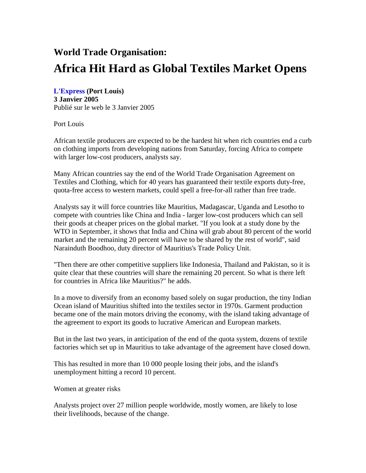## **World Trade Organisation: Africa Hit Hard as Global Textiles Market Opens**

**L'Express (Port Louis) 3 Janvier 2005**  Publié sur le web le 3 Janvier 2005

Port Louis

African textile producers are expected to be the hardest hit when rich countries end a curb on clothing imports from developing nations from Saturday, forcing Africa to compete with larger low-cost producers, analysts say.

Many African countries say the end of the World Trade Organisation Agreement on Textiles and Clothing, which for 40 years has guaranteed their textile exports duty-free, quota-free access to western markets, could spell a free-for-all rather than free trade.

Analysts say it will force countries like Mauritius, Madagascar, Uganda and Lesotho to compete with countries like China and India - larger low-cost producers which can sell their goods at cheaper prices on the global market. "If you look at a study done by the WTO in September, it shows that India and China will grab about 80 percent of the world market and the remaining 20 percent will have to be shared by the rest of world", said Narainduth Boodhoo, duty director of Mauritius's Trade Policy Unit.

"Then there are other competitive suppliers like Indonesia, Thailand and Pakistan, so it is quite clear that these countries will share the remaining 20 percent. So what is there left for countries in Africa like Mauritius?" he adds.

In a move to diversify from an economy based solely on sugar production, the tiny Indian Ocean island of Mauritius shifted into the textiles sector in 1970s. Garment production became one of the main motors driving the economy, with the island taking advantage of the agreement to export its goods to lucrative American and European markets.

But in the last two years, in anticipation of the end of the quota system, dozens of textile factories which set up in Mauritius to take advantage of the agreement have closed down.

This has resulted in more than 10 000 people losing their jobs, and the island's unemployment hitting a record 10 percent.

Women at greater risks

Analysts project over 27 million people worldwide, mostly women, are likely to lose their livelihoods, because of the change.